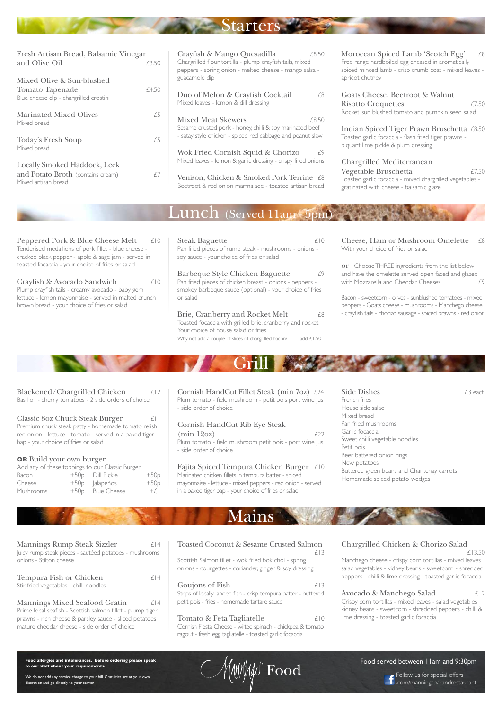Mains

Mannings Rump Steak Sizzler £14 Juicy rump steak pieces - sautéed potatoes - mushrooms onions - Stilton cheese

Tempura Fish or Chicken  $£14$ Stir fried vegetables - chilli noodles

Mannings Mixed Seafood Gratin  $\epsilon$ 14 Prime local seafish - Scottish salmon fillet - plump tiger prawns - rich cheese & parsley sauce - sliced potatoes mature cheddar cheese - side order of choice

Goujons of Fish  $\epsilon$ 13 Strips of locally landed fish - crisp tempura batter - buttered petit pois - fries - homemade tartare sauce

Toasted Coconut & Sesame Crusted Salmon £13

Tomato & Feta Tagliatelle  $\epsilon$ 10 Cornish Fiesta Cheese - wilted spinach - chickpea & tomato ragout - fresh egg tagliatelle - toasted garlic focaccia

Scottish Salmon fillet - wok fried bok choi - spring onions - courgettes - coriander, ginger & soy dressing Chargrilled Chicken & Chorizo Salad £13.50

Blackened/Chargrilled Chicken  $£12$ Basil oil - cherry tomatoes - 2 side orders of choice Classic 8oz Chuck Steak Burger  $\qquad \qquad \text{if }$ Premium chuck steak patty - homemade tomato relish red onion - lettuce - tomato - served in a baked tiger

> Manchego cheese - crispy corn tortillas - mixed leaves salad vegetables - kidney beans - sweetcorn - shredded peppers - chilli & lime dressing - toasted garlic focaccia

 $(\min 12oz)$   $\qquad \qquad \text{122}$ Plum tomato - field mushroom petit pois - port wine jus - side order of choice

> Avocado & Manchego Salad £12 Crispy corn tortillas - mixed leaves - salad vegetables kidney beans - sweetcorn - shredded peppers - chilli & lime dressing - toasted garlic focaccia



**Food allergies and intolerances. Before ordering please speak to our staff about your requirements.**

Side Dishes  $\epsilon$ 3 each French fries House side salad Mixed bread Pan fried mushrooms Garlic focaccia Sweet chilli vegetable noodles Petit pois Beer battered onion rings New potatoes Buttered green beans and Chantenay carrots

We do not add any service charge to your bill. Gratuities are at your own discretion and go directly to your server.



## Food served between 11am and 9:30pm



Goats Cheese, Beetroot & Walnut sotto Croquettes  $£7.50$ cket, sun blushed tomato and pumpkin seed salad

Indian Spiced Tiger Prawn Bruschetta £8.50 asted garlic focaccia - flash fried tiger prawns quant lime pickle & plum dressing

bap - your choice of fries or salad

## **OR** Build your own burger

hargrilled Mediterranean Vegetable Bruschetta £7.50 Toasted garlic focaccia - mixed chargrilled vegetables gratinated with cheese - balsamic glaze

Cornish HandCut Fillet Steak (min 7oz) £24 Plum tomato - field mushroom - petit pois port wine jus - side order of choice

## Cornish HandCut Rib Eye Steak

Peppered Pork & Blue Cheese Melt  $\pm 10$ Tenderised medallions of pork fillet - blue cheese cracked black pepper - apple & sage jam - served in toasted focaccia - your choice of fries or salad

and Potato Broth (contains cream)  $E7$ 

Fajita Spiced Tempura Chicken Burger £10 Marinated chicken fillets in tempura batter - spiced Homemade spiced potato wedges Dill Pickle +50p mayonnaise - lettuce - mixed peppers - red onion - served in a baked tiger bap - your choice of fries or salad

|           | Add any of these toppings to our Classic Burger |        |
|-----------|-------------------------------------------------|--------|
| Bacon     | +50p Dill Pickle                                | $+50p$ |
| Cheese    | $+50p$  alapeños                                | $+50p$ |
| Mushrooms | +50p Blue Cheese                                | $+f$   |

Cheese, Ham or Mushroom Omelette £8 With your choice of fries or salad

or Choose THREE ingredients from the list below and have the omelette served open faced and glazed with Mozzarella and Cheddar Cheeses  $f$ 9

Toasted focaccia with grilled brie, cranberry and rocket Your choice of house salad or fries Why not add a couple of slices of chargrilled bacon? add £1.50

Venison, Chicken & Smoked Pork Terrine £8 Beetroot & red onion marmalade - toasted artisan bread oroccan Spiced Lamb 'Scotch Egg'  $\pm 8$ e range hardboiled egg encased in aromatically ced minced lamb - crisp crumb coat - mixed leaves ricot chutney

| Fresh Artisan Bread, Balsamic Vinegar                            |       | Crayfish & Mango Quesadilla                                                                                        | £8.50 |
|------------------------------------------------------------------|-------|--------------------------------------------------------------------------------------------------------------------|-------|
| and Olive Oil                                                    | £3.50 | Chargrilled flour tortilla - plump crayfish tails, mixed<br>peppers - spring onion - melted cheese - mango salsa - |       |
| Mixed Olive & Sun-blushed                                        |       | guacamole dip                                                                                                      |       |
| <b>Tomato Tapenade</b><br>Blue cheese dip - chargrilled crostini | £4.50 | Duo of Melon & Crayfish Cocktail<br>Mixed leaves - lemon & dill dressing                                           | £8    |
| <b>Marinated Mixed Olives</b><br>Mixed bread                     | £5    | <b>Mixed Meat Skewers</b><br>Sesame crusted pork - honey, chilli & soy marinated beef                              | £8.50 |
| <b>Today's Fresh Soup</b>                                        | £5    | - satay style chicken - spiced red cabbage and peanut slaw                                                         |       |

Mixed artisan bread

## Lunch (Served 11am - 5pm)

Crayfish & Avocado Sandwich £10 Plump crayfish tails - creamy avocado - baby gem lettuce - lemon mayonnaise - served in malted crunch brown bread - your choice of fries or salad

Bacon - sweetcorn - olives - sunblushed tomatoes - mixed peppers - Goats cheese - mushrooms - Manchego cheese - crayfish tails - chorizo sausage - spiced prawns - red onion

| <b>Steak Baguette</b>                                    |    |  |  |
|----------------------------------------------------------|----|--|--|
| Pan fried pieces of rump steak - mushrooms - onions -    |    |  |  |
| soy sauce - your choice of fries or salad                |    |  |  |
|                                                          |    |  |  |
| Barbeque Style Chicken Baguette                          |    |  |  |
| Pan fried pieces of chicken breast - onions - peppers -  |    |  |  |
| smokey barbeque sauce (optional) - your choice of fries  |    |  |  |
| or salad                                                 |    |  |  |
|                                                          |    |  |  |
| Brie, Cranberry and Rocket Melt                          | F8 |  |  |
| Toasted focaccia with grilled brie, cranberry and rocket |    |  |  |